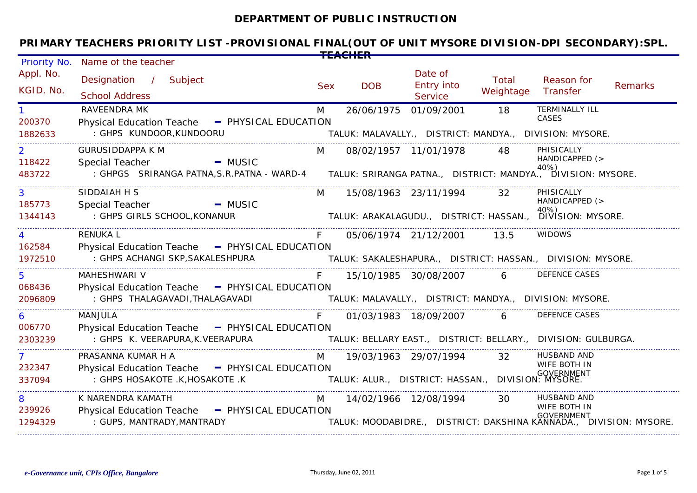#### **DEPARTMENT OF PUBLIC INSTRUCTION**

| Priority No.             | Name of the teacher                                                                                                             |            |                                                    |                                                |                    |                                                                                       |                |
|--------------------------|---------------------------------------------------------------------------------------------------------------------------------|------------|----------------------------------------------------|------------------------------------------------|--------------------|---------------------------------------------------------------------------------------|----------------|
| Appl. No.<br>KGID. No.   | Designation / Subject<br><b>School Address</b>                                                                                  | <b>Sex</b> | <b>DOB</b>                                         | Date of<br><b>Entry into</b><br><b>Service</b> | Total<br>Weightage | Reason for<br>Transfer                                                                | <b>Remarks</b> |
| 200370                   | <b>RAVEENDRA MK</b><br>Physical Education Teache - PHYSICAL EDUCATION                                                           | M          | 26/06/1975 01/09/2001                              |                                                | 18                 | <b>TERMINALLY ILL</b><br>CASES                                                        |                |
| 1882633                  | : GHPS KUNDOOR, KUNDOORU                                                                                                        |            |                                                    |                                                |                    | TALUK: MALAVALLY., DISTRICT: MANDYA., DIVISION: MYSORE.                               |                |
| $\overline{2}$<br>118422 | <b>GURUSIDDAPPA K M</b><br><b>Example 1</b> MUSIC<br>Special Teacher                                                            | <b>M</b>   |                                                    | 08/02/1957 11/01/1978 48                       |                    | PHISICALLY<br>HANDICAPPED (>                                                          |                |
| 483722                   | ccial Teacher<br>GHPGS SRIRANGA PATNA,S.R.PATNA - WARD-4       TALUK: SRIRANGA PATNA.,   DISTRICT: MANDYA.,   DIVISION: MYSORE. |            |                                                    |                                                |                    |                                                                                       |                |
| $\mathbf{3}$<br>185773   | SIDDAIAH H S<br>MUSIC <b>- MUSIC</b><br>Special Teacher                                                                         |            | M 15/08/1963 23/11/1994 32                         |                                                |                    | PHISICALLY<br>HANDICAPPED (>                                                          |                |
| 1344143                  | : GHPS GIRLS SCHOOL, KONANUR                                                                                                    |            |                                                    |                                                |                    | TALUK: ARAKALAGUDU., DISTRICT: HASSAN., DIVISION: MYSORE.                             |                |
| $\overline{4}$<br>162584 | <b>RENUKAL</b><br>Physical Education Teache - PHYSICAL EDUCATION                                                                | F          |                                                    | 05/06/1974 21/12/2001 13.5                     |                    | <b>WIDOWS</b>                                                                         |                |
| 1972510                  | : GHPS ACHANGI SKP, SAKALESHPURA                                                                                                |            |                                                    |                                                |                    | TALUK: SAKALESHAPURA., DISTRICT: HASSAN., DIVISION: MYSORE.                           |                |
| 5 <sup>5</sup><br>068436 | MAHESHWARI V                                                                                                                    | $F =$      |                                                    | 15/10/1985 30/08/2007 6                        |                    | <b>DEFENCE CASES</b>                                                                  |                |
| 2096809                  | Physical Education Teache - PHYSICAL EDUCATION<br>: GHPS THALAGAVADI,THALAGAVADI                                                |            |                                                    |                                                |                    | TALUK: MALAVALLY., DISTRICT: MANDYA., DIVISION: MYSORE.                               |                |
| 6<br>006770              | <b>MANJULA</b>                                                                                                                  | $F =$      |                                                    | 01/03/1983 18/09/2007 6                        |                    | <b>DEFENCE CASES</b>                                                                  |                |
| 2303239                  | Physical Education Teache - PHYSICAL EDUCATION<br>: GHPS K. VEERAPURA,K.VEERAPURA                                               |            |                                                    |                                                |                    | TALUK: BELLARY EAST., DISTRICT: BELLARY., DIVISION: GULBURGA.                         |                |
| $\mathbf{7}$<br>232347   | <b>N</b><br>PRASANNA KUMAR H A                                                                                                  |            |                                                    | 19/03/1963 29/07/1994 32                       |                    | <b>HUSBAND AND</b><br>WIFE BOTH IN                                                    |                |
| 337094                   | Physical Education Teache - PHYSICAL EDUCATION<br>: GHPS HOSAKOTE .K.HOSAKOTE .K                                                |            | TALUK: ALUR., DISTRICT: HASSAN., DIVISION: MYSORE. |                                                |                    | <b>GOVERNMENT</b>                                                                     |                |
| 8<br>239926              | K NARENDRA KAMATH                                                                                                               | M          |                                                    | 14/02/1966 12/08/1994 30                       |                    | HUSBAND AND<br>WIFE BOTH IN                                                           |                |
| 1294329                  | Physical Education Teache - PHYSICAL EDUCATION<br>: GUPS, MANTRADY, MANTRADY                                                    |            |                                                    |                                                |                    | <b>GOVERNMENT</b><br>TALUK: MOODABIDRE., DISTRICT: DAKSHINA KANNADA DIVISION: MYSORE. |                |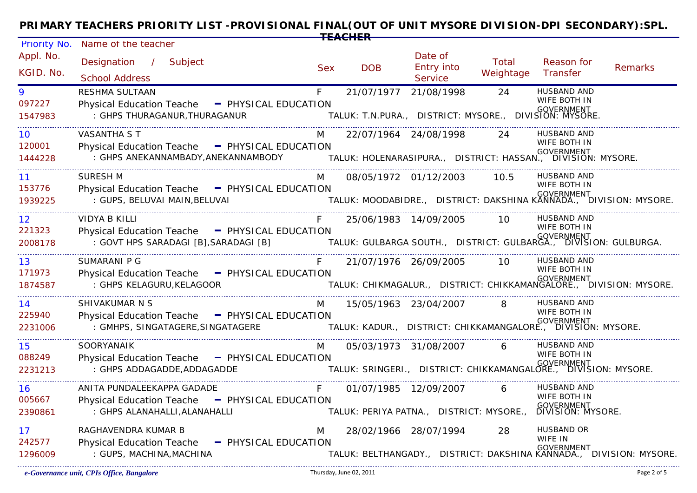| Priority No.      | Name of the teacher                                                                       |            |                       |                                                        |           |                                                                                              |         |
|-------------------|-------------------------------------------------------------------------------------------|------------|-----------------------|--------------------------------------------------------|-----------|----------------------------------------------------------------------------------------------|---------|
| Appl. No.         | Designation / Subject                                                                     |            |                       | Date of                                                | Total     | Reason for                                                                                   |         |
| KGID. No.         | <b>School Address</b>                                                                     | <b>Sex</b> | <b>DOB</b>            | Entry into<br>Service                                  | Weightage | Transfer                                                                                     | Remarks |
| 9                 | RESHMA SULTAAN                                                                            | F          | 21/07/1977            | 21/08/1998                                             | 24        | <b>HUSBAND AND</b>                                                                           |         |
| 097227<br>1547983 | - PHYSICAL EDUCATION<br><b>Physical Education Teache</b><br>: GHPS THURAGANUR, THURAGANUR |            |                       | TALUK: T.N.PURA., DISTRICT: MYSORE., DIVISION: MYSORE. |           | WIFE BOTH IN<br>GOVERNMENT                                                                   |         |
| 10                | VASANTHA S T                                                                              |            |                       | 22/07/1964 24/08/1998                                  | 24        | <b>HUSBAND AND</b><br>WIFE BOTH IN                                                           |         |
| 120001<br>1444228 | Physical Education Teache - PHYSICAL EDUCATION                                            |            |                       |                                                        |           |                                                                                              |         |
| 11                | <b>SURESH M</b>                                                                           | M          |                       | 08/05/1972 01/12/2003 10.5                             |           | <b>HUSBAND AND</b><br>WIFE BOTH IN                                                           |         |
| 153776<br>1939225 | Physical Education Teache - PHYSICAL EDUCATION<br>: GUPS, BELUVAI MAIN, BELUVAI           |            |                       |                                                        |           | .•<br>TALUK: MOODABIDRE.,   DISTRICT: DAKSHINA KANNADA.,   DIVISION: MYSORE.                 |         |
| _________________ |                                                                                           |            |                       |                                                        |           |                                                                                              |         |
| 12<br>221323      | <b>VIDYA B KILLI</b><br>Physical Education Teache - PHYSICAL EDUCATION                    | F.         |                       | 25/06/1983 14/09/2005 10                               |           | <b>HUSBAND AND</b><br><b>WIFE BOTH IN</b>                                                    |         |
| 2008178           | : GOVT HPS SARADAGI [B], SARADAGI [B]                                                     |            |                       |                                                        |           | COVERNMENT ( المادين )<br>.TALUK: GULBARGA SOUTH.,  DISTRICT: GULBARGA.,  DIVISION: GULBURGA |         |
| 13                | SUMARANI P G                                                                              | F          |                       | 21/07/1976 26/09/2005 10                               |           | <b>HUSBAND AND</b>                                                                           |         |
| 171973<br>1874587 | Physical Education Teache - PHYSICAL EDUCATION<br>: GHPS KELAGURU, KELAGOOR               |            |                       |                                                        |           | WIFE BOTH IN<br><br>TALUK: CHIKMAGALUR.,   DISTRICT: CHIKKAMANGALORE.,   DIVISION: MYSORE.   |         |
| 14                | SHIVAKUMAR N S                                                                            |            |                       | 15/05/1963 23/04/2007 8                                |           | <b>HUSBAND AND</b>                                                                           |         |
| 225940            | Physical Education Teache - PHYSICAL EDUCATION                                            |            |                       |                                                        |           | WIFE BOTH IN<br>۰۰<br>TALUK: KADUR.,   DISTRICT: CHIKKAMANGALORE.,   DIVISION: MYSORE.       |         |
| 2231006           | : GMHPS, SINGATAGERE, SINGATAGERE                                                         |            |                       |                                                        |           |                                                                                              |         |
| 15                | <b>SOORYANAIK</b>                                                                         | M          |                       | 05/03/1973 31/08/2007                                  | 6         | HUSBAND AND<br>WIFE BOTH IN                                                                  |         |
| 088249<br>2231213 | - PHYSICAL EDUCATION<br><b>Physical Education Teache</b><br>: GHPS ADDAGADDE, ADDAGADDE   |            |                       |                                                        |           | <b>GOVERNMENT</b><br>TALUK: SRINGERI., DISTRICT: CHIKKAMANGALORE., DIVISION: MYSORE.         |         |
| 16                | ANITA PUNDALEEKAPPA GADADE                                                                | F          | 01/07/1985 12/09/2007 |                                                        | 6         | <b>HUSBAND AND</b>                                                                           |         |
| 005667<br>2390861 | Physical Education Teache - PHYSICAL EDUCATION<br>: GHPS ALANAHALLI, ALANAHALLI           |            |                       |                                                        |           | WIFE BOTH IN<br>۰۰<br>TALUK: PERIYA PATNA.,    DISTRICT: MYSORE.,    DIVISION: MYSORE.       |         |
| 17                | RAGHAVENDRA KUMAR B                                                                       | M          |                       | 28/02/1966 28/07/1994                                  | -28.      | <b>HUSBAND OR</b>                                                                            |         |
| 242577<br>1296009 | - PHYSICAL EDUCATION<br><b>Physical Education Teache</b><br>: GUPS, MACHINA, MACHINA      |            |                       |                                                        |           | WIFE IN<br>GOVERNMENT<br>TALUK: BELTHANGADY., DISTRICT: DAKSHINA KANNADA., DIVISION: MYSORE. |         |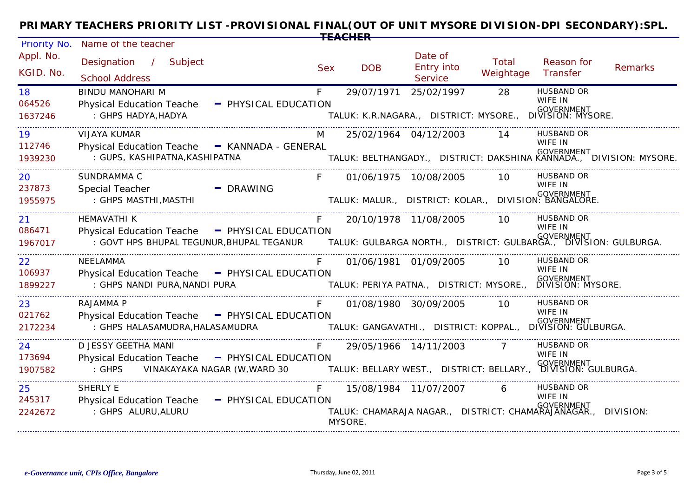| Priority No.           | Name of the teacher                                                             |            |                                                                          |                                                |                    |                                 |                                                                     |  |  |
|------------------------|---------------------------------------------------------------------------------|------------|--------------------------------------------------------------------------|------------------------------------------------|--------------------|---------------------------------|---------------------------------------------------------------------|--|--|
| Appl. No.<br>KGID. No. | Designation / Subject<br><b>School Address</b>                                  | <b>Sex</b> | <b>DOB</b>                                                               | Date of<br><b>Entry into</b><br><b>Service</b> | Total<br>Weightage | Reason for<br>Transfer          | <b>Remarks</b>                                                      |  |  |
| 18                     | <b>BINDU MANOHARI M</b>                                                         | F.         | 29/07/1971                                                               | 25/02/1997                                     | 28                 | <b>HUSBAND OR</b>               |                                                                     |  |  |
| 064526<br>1637246      | <b>Physical Education Teache</b><br>- PHYSICAL EDUCATION<br>: GHPS HADYA, HADYA |            | TALUK: K.R.NAGARA., DISTRICT: MYSORE., DIVISION: MYSORE.                 |                                                |                    | WIFE IN<br><b>GOVERNMENT</b>    |                                                                     |  |  |
| 19                     | VIJAYA KUMAR                                                                    |            | 25/02/1964 04/12/2003                                                    |                                                | 14                 | <b>HUSBAND OR</b>               |                                                                     |  |  |
| 112746<br>1939230      | Physical Education Teache - KANNADA - GENERAL<br>: GUPS, KASHIPATNA, KASHIPATNA |            |                                                                          |                                                |                    | WIFE IN<br>GOVERNMENT           | TALUK: BELTHANGADY., DISTRICT: DAKSHINA KANNADA., DIVISION: MYSORE. |  |  |
| 20                     | SUNDRAMMA C                                                                     |            | 01/06/1975 10/08/2005                                                    |                                                | 10.                | HUSBAND OR                      |                                                                     |  |  |
| 237873                 | <b>Special Teacher</b><br>$\blacksquare$ DRAWING                                |            |                                                                          |                                                |                    | WIFE IN                         |                                                                     |  |  |
| 1955975                | : GHPS MASTHI, MASTHI                                                           |            | GOVERNMENT<br>TALUK: MALUR., DISTRICT: KOLAR., DIVISION: BANGALORE.      |                                                |                    |                                 |                                                                     |  |  |
| 21                     | HEMAVATHI K                                                                     |            |                                                                          | 20/10/1978 11/08/2005                          | 10                 | HUSBAND OR                      |                                                                     |  |  |
| 086471                 | <b>Physical Education Teache</b><br>- PHYSICAL EDUCATION                        |            |                                                                          |                                                |                    | WIFE IN<br><b>GOVERNMENT</b>    |                                                                     |  |  |
| 1967017                | : GOVT HPS BHUPAL TEGUNUR, BHUPAL TEGANUR                                       |            |                                                                          |                                                |                    |                                 |                                                                     |  |  |
| 22                     | NEELAMMA                                                                        |            | 01/06/1981 01/09/2005                                                    |                                                | 10                 | HUSBAND OR                      |                                                                     |  |  |
| 106937                 | Physical Education Teache - PHYSICAL EDUCATION                                  |            |                                                                          |                                                |                    | WIFE IN                         |                                                                     |  |  |
| 1899227                | : GHPS NANDI PURA, NANDI PURA                                                   |            | TALUK: PERIYA PATNA., DISTRICT: MYSORE.,                                 |                                                |                    | GOVERNMENT<br>DIVISION: MYSORE. |                                                                     |  |  |
| 23                     | RAJAMMA P                                                                       |            | 01/08/1980 30/09/2005                                                    |                                                | 10                 | HUSBAND OR                      |                                                                     |  |  |
| 021762                 | <b>Physical Education Teache</b><br>- PHYSICAL EDUCATION                        |            |                                                                          |                                                |                    | WIFE IN                         |                                                                     |  |  |
| 2172234                | : GHPS HALASAMUDRA, HALASAMUDRA                                                 |            | .•<br>TALUK: GANGAVATHI.,   DISTRICT: KOPPAL.,   DIVISION: GULBURGA.     |                                                |                    |                                 |                                                                     |  |  |
| 24                     | D JESSY GEETHA MANI                                                             |            |                                                                          | 29/05/1966 14/11/2003                          |                    | HUSBAND OR                      |                                                                     |  |  |
| 173694                 | <b>Physical Education Teache</b><br>- PHYSICAL EDUCATION                        |            |                                                                          |                                                |                    | WIFE IN<br><b>GOVERNMENT</b>    |                                                                     |  |  |
| 1907582                | : GHPS<br>VINAKAYAKA NAGAR (W, WARD 30                                          |            | TALUK: BELLARY WEST.,   DISTRICT: BELLARY.,   DIVISIÖN: GULBURGA.        |                                                |                    |                                 |                                                                     |  |  |
| 25                     | <b>SHERLY E</b>                                                                 |            |                                                                          | 15/08/1984 11/07/2007                          | 6                  | HUSBAND OR                      |                                                                     |  |  |
| 245317                 | <b>Physical Education Teache</b><br>- PHYSICAL EDUCATION                        |            |                                                                          |                                                |                    | WIFE IN<br><b>GOVERNMENT</b>    |                                                                     |  |  |
| 2242672                | : GHPS ALURU, ALURU                                                             |            | TALUK: CHAMARAJA NAGAR., DISTRICT: CHAMARAJANAGAR., DIVISION:<br>MYSORE. |                                                |                    |                                 |                                                                     |  |  |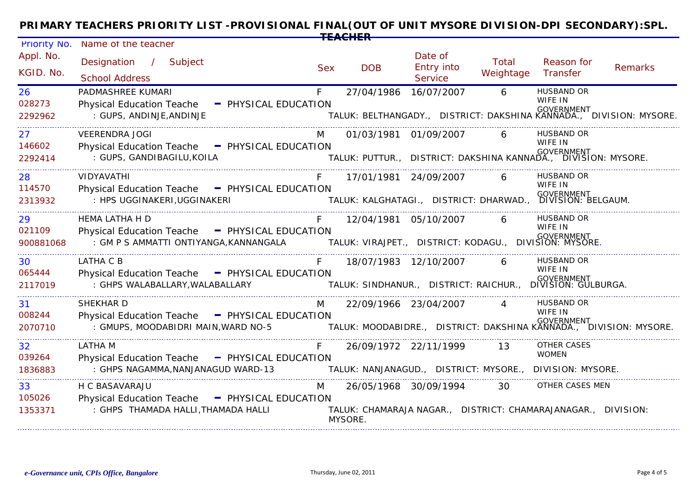| <b>Priority No.</b>    | Name of the teacher                                                                                            |            |                                                                          |                                                |                    |                              |                |  |  |
|------------------------|----------------------------------------------------------------------------------------------------------------|------------|--------------------------------------------------------------------------|------------------------------------------------|--------------------|------------------------------|----------------|--|--|
| Appl. No.<br>KGID, No. | Designation / Subject<br><b>School Address</b>                                                                 | <b>Sex</b> | <b>DOB</b>                                                               | Date of<br><b>Entry into</b><br><b>Service</b> | Total<br>Weightage | Reason for<br>Transfer       | <b>Remarks</b> |  |  |
| 26                     | PADMASHREE KUMARI                                                                                              | F.         | 27/04/1986 16/07/2007                                                    |                                                | 6                  | <b>HUSBAND OR</b>            |                |  |  |
| 028273<br>2292962      | Physical Education Teache - PHYSICAL EDUCATION<br>: GUPS, ANDINJE, ANDINJE                                     |            | TALUK: BELTHANGADY., DISTRICT: DAKSHINA KANNADA., DIVISION: MYSORE.      |                                                |                    | WIFE IN<br><b>GOVERNMENT</b> |                |  |  |
| 27                     | <b>VEERENDRA JOGI</b>                                                                                          |            | 01/03/1981 01/09/2007                                                    |                                                |                    | <b>HUSBAND OR</b>            |                |  |  |
| 146602<br>2292414      | Physical Education Teache - PHYSICAL EDUCATION<br>: GUPS, GANDIBAGILU, KOILA                                   |            | ۰۰<br>TALUK: PUTTUR.,   DISTRICT: DAKSHINA KANNADA.,   DIVISION: MYSORE. |                                                |                    | WIFE IN                      |                |  |  |
| 28                     | <b>VIDYAVATHI</b>                                                                                              |            | 17/01/1981 24/09/2007                                                    |                                                |                    | <b>HUSBAND OR</b>            |                |  |  |
| 114570                 | Physical Education Teache - PHYSICAL EDUCATION                                                                 |            |                                                                          |                                                |                    | WIFE IN                      |                |  |  |
| 2313932                | : HPS UGGINAKERI, UGGINAKERI                                                                                   |            | <br>TALUK: KALGHATAGI.,   DISTRICT: DHARWAD.,   DIVISION: BELGAUM.       |                                                |                    |                              |                |  |  |
| 29                     | HEMA LATHA H D                                                                                                 |            | 12/04/1981 05/10/2007                                                    |                                                | 6                  | <b>HUSBAND OR</b>            |                |  |  |
| 021109                 | Physical Education Teache - PHYSICAL EDUCATION                                                                 |            |                                                                          |                                                |                    | WIFE IN<br><b>GOVERNMENT</b> |                |  |  |
| 900881068              | : GM P S AMMATTI ONTIYANGA,KANNANGALA               TALUK: VIRAJPET.,   DISTRICT: KODAGU.,   DIVIŠION: MYSORE. |            |                                                                          |                                                |                    |                              |                |  |  |
| 30                     | LATHA C B                                                                                                      |            |                                                                          | 18/07/1983 12/10/2007                          | 6                  | <b>HUSBAND OR</b>            |                |  |  |
| 065444                 | Physical Education Teache - PHYSICAL EDUCATION                                                                 |            |                                                                          |                                                |                    | WIFE IN                      |                |  |  |
| 2117019                | : GHPS WALABALLARY, WALABALLARY                                                                                |            | <br>TALUK: SINDHANUR.,   DISTRICT: RAICHUR.,   DIVISION: GULBURGA.       |                                                |                    |                              |                |  |  |
| 31                     | SHEKHAR D                                                                                                      | M          | 22/09/1966 23/04/2007                                                    |                                                |                    | <b>HUSBAND OR</b>            |                |  |  |
| 008244                 | Physical Education Teache - PHYSICAL EDUCATION                                                                 |            |                                                                          |                                                |                    | WIFE IN                      |                |  |  |
| 2070710                | : GMUPS, MOODABIDRI MAIN, WARD NO-5                                                                            |            |                                                                          |                                                |                    |                              |                |  |  |
| 32                     | <b>LATHA M</b>                                                                                                 |            | 26/09/1972 22/11/1999                                                    |                                                | 13                 | <b>OTHER CASES</b>           |                |  |  |
| 039264                 | Physical Education Teache - PHYSICAL EDUCATION                                                                 |            |                                                                          |                                                |                    | <b>WOMEN</b>                 |                |  |  |
| 1836883                | : GHPS NAGAMMA, NANJANAGUD WARD-13                                                                             |            | TALUK: NANJANAGUD.,  DISTRICT: MYSORE.,  DIVISION: MYSORE.               |                                                |                    |                              |                |  |  |
| 33                     | H C BASAVARAJU                                                                                                 | M          | 26/05/1968 30/09/1994                                                    |                                                | 30                 | OTHER CASES MEN              |                |  |  |
| 105026                 | Physical Education Teache - PHYSICAL EDUCATION                                                                 |            |                                                                          |                                                |                    |                              |                |  |  |
| 1353371                | : GHPS THAMADA HALLI, THAMADA HALLI                                                                            |            | TALUK: CHAMARAJA NAGAR., DISTRICT: CHAMARAJANAGAR., DIVISION:<br>MYSORE. |                                                |                    |                              |                |  |  |